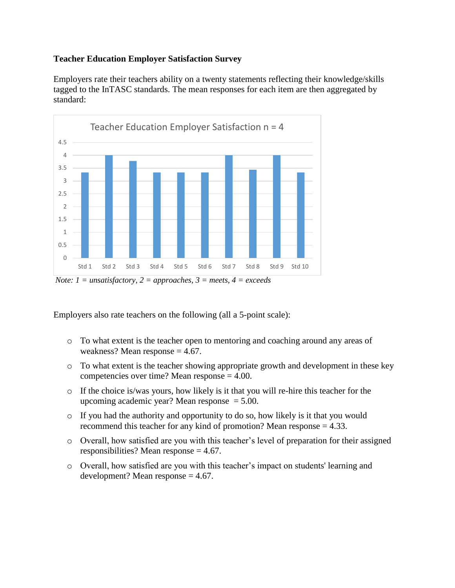## **Teacher Education Employer Satisfaction Survey**

Employers rate their teachers ability on a twenty statements reflecting their knowledge/skills tagged to the InTASC standards. The mean responses for each item are then aggregated by standard:



*Note: 1 = unsatisfactory, 2 = approaches, 3 = meets, 4 = exceeds*

Employers also rate teachers on the following (all a 5-point scale):

- o To what extent is the teacher open to mentoring and coaching around any areas of weakness? Mean response  $= 4.67$ .
- o To what extent is the teacher showing appropriate growth and development in these key competencies over time? Mean response = 4.00.
- o If the choice is/was yours, how likely is it that you will re-hire this teacher for the upcoming academic year? Mean response  $= 5.00$ .
- o If you had the authority and opportunity to do so, how likely is it that you would recommend this teacher for any kind of promotion? Mean response = 4.33.
- o Overall, how satisfied are you with this teacher's level of preparation for their assigned responsibilities? Mean response = 4.67.
- o Overall, how satisfied are you with this teacher's impact on students' learning and development? Mean response  $= 4.67$ .